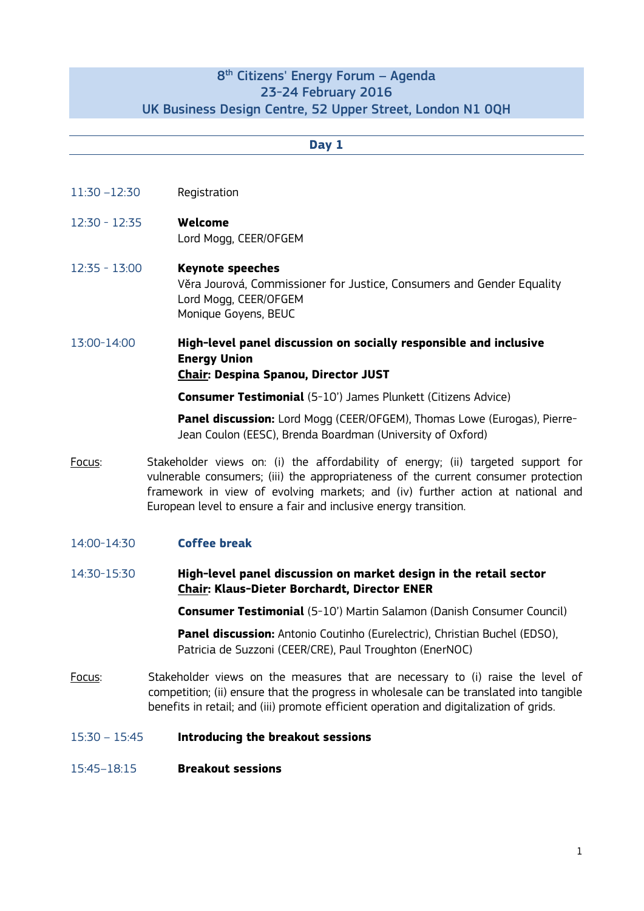# 8<sup>th</sup> Citizens' Energy Forum – Agenda 23-24 February 2016 UK Business Design Centre, 52 Upper Street, London N1 0QH

### **Day 1**

- 11:30 –12:30 Registration
- 12:30 12:35 **Welcome** Lord Mogg, CEER/OFGEM
- 12:35 13:00 **Keynote speeches** Věra Jourová, Commissioner for Justice, Consumers and Gender Equality Lord Mogg, CEER/OFGEM Monique Goyens, BEUC
- 13:00-14:00 **High-level panel discussion on socially responsible and inclusive Energy Union Chair: Despina Spanou, Director JUST**

**Consumer Testimonial** (5-10') James Plunkett (Citizens Advice)

**Panel discussion:** Lord Mogg (CEER/OFGEM), Thomas Lowe (Eurogas), Pierre-Jean Coulon (EESC), Brenda Boardman (University of Oxford)

Focus: Stakeholder views on: (i) the affordability of energy; (ii) targeted support for vulnerable consumers; (iii) the appropriateness of the current consumer protection framework in view of evolving markets; and (iv) further action at national and European level to ensure a fair and inclusive energy transition.

## 14:00-14:30 **Coffee break**

14:30-15:30 **High-level panel discussion on market design in the retail sector Chair: Klaus-Dieter Borchardt, Director ENER**

**Consumer Testimonial** (5-10') Martin Salamon (Danish Consumer Council)

**Panel discussion:** Antonio Coutinho (Eurelectric), Christian Buchel (EDSO), Patricia de Suzzoni (CEER/CRE), Paul Troughton (EnerNOC)

- Focus: Stakeholder views on the measures that are necessary to (i) raise the level of competition; (ii) ensure that the progress in wholesale can be translated into tangible benefits in retail; and (iii) promote efficient operation and digitalization of grids.
- 15:30 15:45 **Introducing the breakout sessions**
- 15:45–18:15 **Breakout sessions**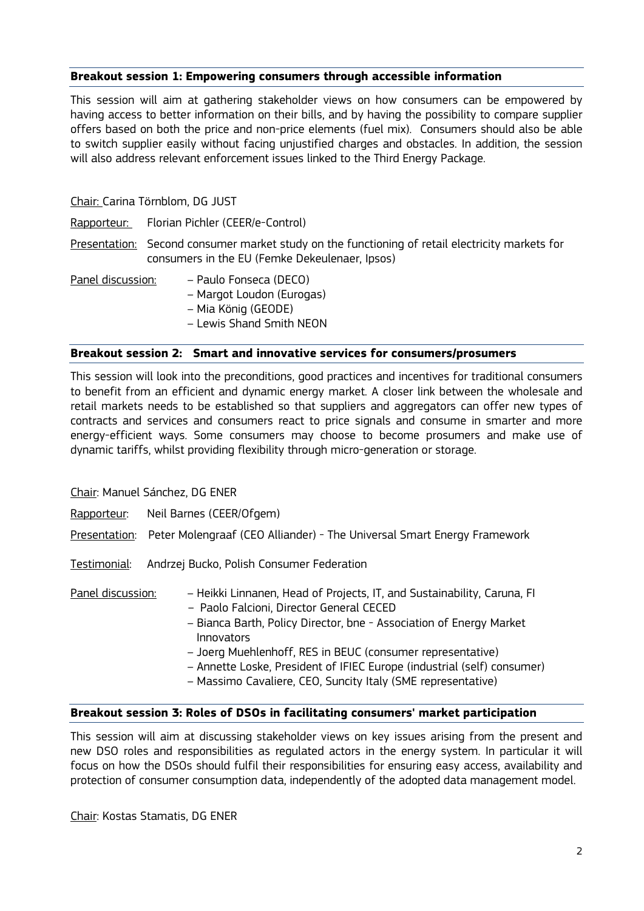## **Breakout session 1: Empowering consumers through accessible information**

This session will aim at gathering stakeholder views on how consumers can be empowered by having access to better information on their bills, and by having the possibility to compare supplier offers based on both the price and non-price elements (fuel mix). Consumers should also be able to switch supplier easily without facing unjustified charges and obstacles. In addition, the session will also address relevant enforcement issues linked to the Third Energy Package.

Chair: Carina Törnblom, DG JUST

- Rapporteur: Florian Pichler (CEER/e-Control)
- Presentation: Second consumer market study on the functioning of retail electricity markets for consumers in the EU (Femke Dekeulenaer, Ipsos)
- Panel discussion: Paulo Fonseca (DECO)
	- Margot Loudon (Eurogas)
	- Mia König (GEODE)
	- Lewis Shand Smith NEON

#### **Breakout session 2: Smart and innovative services for consumers/prosumers**

This session will look into the preconditions, good practices and incentives for traditional consumers to benefit from an efficient and dynamic energy market. A closer link between the wholesale and retail markets needs to be established so that suppliers and aggregators can offer new types of contracts and services and consumers react to price signals and consume in smarter and more energy-efficient ways. Some consumers may choose to become prosumers and make use of dynamic tariffs, whilst providing flexibility through micro-generation or storage.

Chair: Manuel Sánchez, DG ENER

- Rapporteur: Neil Barnes (CEER/Ofgem)
- Presentation: Peter Molengraaf (CEO Alliander) The Universal Smart Energy Framework
- Testimonial: Andrzej Bucko, Polish Consumer Federation

| <u>Panel discussion:</u> | - Heikki Linnanen, Head of Projects, IT, and Sustainability, Caruna, FI<br>- Paolo Falcioni, Director General CECED<br>- Bianca Barth, Policy Director, bne - Association of Energy Market                          |
|--------------------------|---------------------------------------------------------------------------------------------------------------------------------------------------------------------------------------------------------------------|
|                          | Innovators<br>- Joerg Muehlenhoff, RES in BEUC (consumer representative)<br>- Annette Loske, President of IFIEC Europe (industrial (self) consumer)<br>- Massimo Cavaliere, CEO, Suncity Italy (SME representative) |

#### **Breakout session 3: Roles of DSOs in facilitating consumers' market participation**

This session will aim at discussing stakeholder views on key issues arising from the present and new DSO roles and responsibilities as regulated actors in the energy system. In particular it will focus on how the DSOs should fulfil their responsibilities for ensuring easy access, availability and protection of consumer consumption data, independently of the adopted data management model.

Chair: Kostas Stamatis, DG ENER